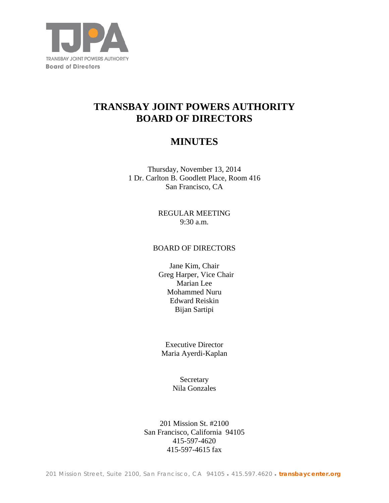

# **TRANSBAY JOINT POWERS AUTHORITY BOARD OF DIRECTORS**

## **MINUTES**

Thursday, November 13, 2014 1 Dr. Carlton B. Goodlett Place, Room 416 San Francisco, CA

> REGULAR MEETING 9:30 a.m.

## BOARD OF DIRECTORS

Jane Kim, Chair Greg Harper, Vice Chair Marian Lee Mohammed Nuru Edward Reiskin Bijan Sartipi

Executive Director Maria Ayerdi-Kaplan

> **Secretary** Nila Gonzales

201 Mission St. #2100 San Francisco, California 94105 415-597-4620 415-597-4615 fax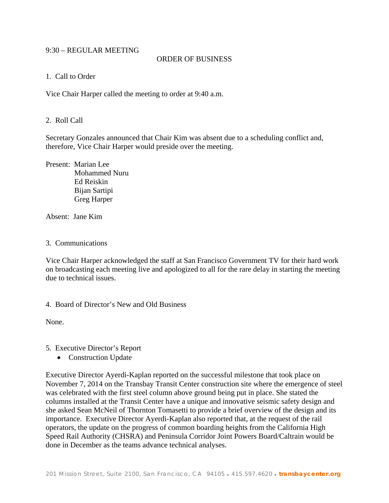## 9:30 – REGULAR MEETING

#### ORDER OF BUSINESS

#### 1. Call to Order

Vice Chair Harper called the meeting to order at 9:40 a.m.

#### 2. Roll Call

Secretary Gonzales announced that Chair Kim was absent due to a scheduling conflict and, therefore, Vice Chair Harper would preside over the meeting.

Present: Marian Lee Mohammed Nuru Ed Reiskin Bijan Sartipi Greg Harper

Absent: Jane Kim

#### 3. Communications

Vice Chair Harper acknowledged the staff at San Francisco Government TV for their hard work on broadcasting each meeting live and apologized to all for the rare delay in starting the meeting due to technical issues.

4. Board of Director's New and Old Business

None.

5. Executive Director's Report

• Construction Update

Executive Director Ayerdi-Kaplan reported on the successful milestone that took place on November 7, 2014 on the Transbay Transit Center construction site where the emergence of steel was celebrated with the first steel column above ground being put in place. She stated the columns installed at the Transit Center have a unique and innovative seismic safety design and she asked Sean McNeil of Thornton Tomasetti to provide a brief overview of the design and its importance. Executive Director Ayerdi-Kaplan also reported that, at the request of the rail operators, the update on the progress of common boarding heights from the California High Speed Rail Authority (CHSRA) and Peninsula Corridor Joint Powers Board/Caltrain would be done in December as the teams advance technical analyses.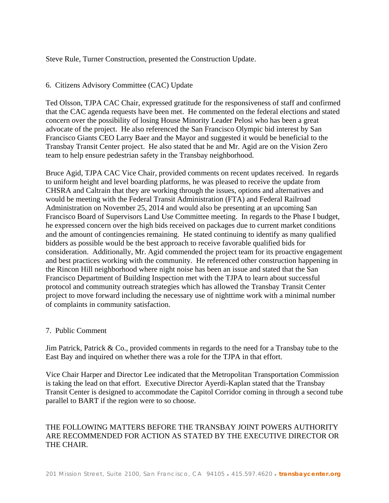#### Steve Rule, Turner Construction, presented the Construction Update.

## 6. Citizens Advisory Committee (CAC) Update

Ted Olsson, TJPA CAC Chair, expressed gratitude for the responsiveness of staff and confirmed that the CAC agenda requests have been met. He commented on the federal elections and stated concern over the possibility of losing House Minority Leader Pelosi who has been a great advocate of the project. He also referenced the San Francisco Olympic bid interest by San Francisco Giants CEO Larry Baer and the Mayor and suggested it would be beneficial to the Transbay Transit Center project. He also stated that he and Mr. Agid are on the Vision Zero team to help ensure pedestrian safety in the Transbay neighborhood.

Bruce Agid, TJPA CAC Vice Chair, provided comments on recent updates received. In regards to uniform height and level boarding platforms, he was pleased to receive the update from CHSRA and Caltrain that they are working through the issues, options and alternatives and would be meeting with the Federal Transit Administration (FTA) and Federal Railroad Administration on November 25, 2014 and would also be presenting at an upcoming San Francisco Board of Supervisors Land Use Committee meeting. In regards to the Phase I budget, he expressed concern over the high bids received on packages due to current market conditions and the amount of contingencies remaining. He stated continuing to identify as many qualified bidders as possible would be the best approach to receive favorable qualified bids for consideration. Additionally, Mr. Agid commended the project team for its proactive engagement and best practices working with the community. He referenced other construction happening in the Rincon Hill neighborhood where night noise has been an issue and stated that the San Francisco Department of Building Inspection met with the TJPA to learn about successful protocol and community outreach strategies which has allowed the Transbay Transit Center project to move forward including the necessary use of nighttime work with a minimal number of complaints in community satisfaction.

#### 7. Public Comment

Jim Patrick, Patrick & Co., provided comments in regards to the need for a Transbay tube to the East Bay and inquired on whether there was a role for the TJPA in that effort.

Vice Chair Harper and Director Lee indicated that the Metropolitan Transportation Commission is taking the lead on that effort. Executive Director Ayerdi-Kaplan stated that the Transbay Transit Center is designed to accommodate the Capitol Corridor coming in through a second tube parallel to BART if the region were to so choose.

## THE FOLLOWING MATTERS BEFORE THE TRANSBAY JOINT POWERS AUTHORITY ARE RECOMMENDED FOR ACTION AS STATED BY THE EXECUTIVE DIRECTOR OR THE CHAIR.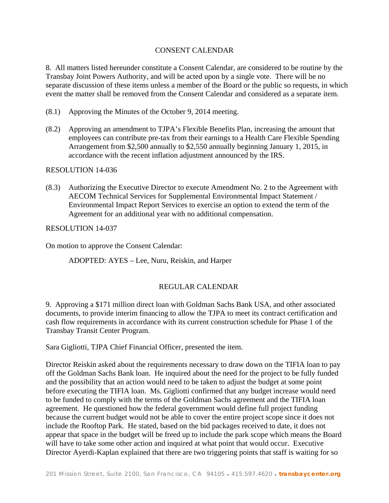## CONSENT CALENDAR

8. All matters listed hereunder constitute a Consent Calendar, are considered to be routine by the Transbay Joint Powers Authority, and will be acted upon by a single vote. There will be no separate discussion of these items unless a member of the Board or the public so requests, in which event the matter shall be removed from the Consent Calendar and considered as a separate item.

- (8.1) Approving the Minutes of the October 9, 2014 meeting.
- (8.2) Approving an amendment to TJPA's Flexible Benefits Plan, increasing the amount that employees can contribute pre-tax from their earnings to a Health Care Flexible Spending Arrangement from \$2,500 annually to \$2,550 annually beginning January 1, 2015, in accordance with the recent inflation adjustment announced by the IRS.

RESOLUTION 14-036

(8.3) Authorizing the Executive Director to execute Amendment No. 2 to the Agreement with AECOM Technical Services for Supplemental Environmental Impact Statement / Environmental Impact Report Services to exercise an option to extend the term of the Agreement for an additional year with no additional compensation.

RESOLUTION 14-037

On motion to approve the Consent Calendar:

ADOPTED: AYES – Lee, Nuru, Reiskin, and Harper

#### REGULAR CALENDAR

9. Approving a \$171 million direct loan with Goldman Sachs Bank USA, and other associated documents, to provide interim financing to allow the TJPA to meet its contract certification and cash flow requirements in accordance with its current construction schedule for Phase 1 of the Transbay Transit Center Program.

Sara Gigliotti, TJPA Chief Financial Officer, presented the item.

Director Reiskin asked about the requirements necessary to draw down on the TIFIA loan to pay off the Goldman Sachs Bank loan. He inquired about the need for the project to be fully funded and the possibility that an action would need to be taken to adjust the budget at some point before executing the TIFIA loan. Ms. Gigliotti confirmed that any budget increase would need to be funded to comply with the terms of the Goldman Sachs agreement and the TIFIA loan agreement. He questioned how the federal government would define full project funding because the current budget would not be able to cover the entire project scope since it does not include the Rooftop Park. He stated, based on the bid packages received to date, it does not appear that space in the budget will be freed up to include the park scope which means the Board will have to take some other action and inquired at what point that would occur. Executive Director Ayerdi-Kaplan explained that there are two triggering points that staff is waiting for so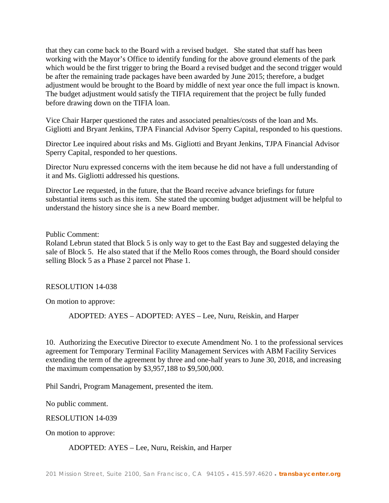that they can come back to the Board with a revised budget. She stated that staff has been working with the Mayor's Office to identify funding for the above ground elements of the park which would be the first trigger to bring the Board a revised budget and the second trigger would be after the remaining trade packages have been awarded by June 2015; therefore, a budget adjustment would be brought to the Board by middle of next year once the full impact is known. The budget adjustment would satisfy the TIFIA requirement that the project be fully funded before drawing down on the TIFIA loan.

Vice Chair Harper questioned the rates and associated penalties/costs of the loan and Ms. Gigliotti and Bryant Jenkins, TJPA Financial Advisor Sperry Capital, responded to his questions.

Director Lee inquired about risks and Ms. Gigliotti and Bryant Jenkins, TJPA Financial Advisor Sperry Capital, responded to her questions.

Director Nuru expressed concerns with the item because he did not have a full understanding of it and Ms. Gigliotti addressed his questions.

Director Lee requested, in the future, that the Board receive advance briefings for future substantial items such as this item. She stated the upcoming budget adjustment will be helpful to understand the history since she is a new Board member.

Public Comment:

Roland Lebrun stated that Block 5 is only way to get to the East Bay and suggested delaying the sale of Block 5. He also stated that if the Mello Roos comes through, the Board should consider selling Block 5 as a Phase 2 parcel not Phase 1.

#### RESOLUTION 14-038

On motion to approve:

ADOPTED: AYES – ADOPTED: AYES – Lee, Nuru, Reiskin, and Harper

10. Authorizing the Executive Director to execute Amendment No. 1 to the professional services agreement for Temporary Terminal Facility Management Services with ABM Facility Services extending the term of the agreement by three and one-half years to June 30, 2018, and increasing the maximum compensation by \$3,957,188 to \$9,500,000.

Phil Sandri, Program Management, presented the item.

No public comment.

RESOLUTION 14-039

On motion to approve:

#### ADOPTED: AYES – Lee, Nuru, Reiskin, and Harper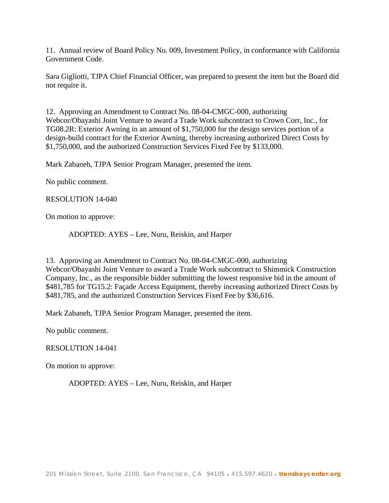11. Annual review of Board Policy No. 009, Investment Policy, in conformance with California Government Code.

Sara Gigliotti, TJPA Chief Financial Officer, was prepared to present the item but the Board did not require it.

12. Approving an Amendment to Contract No. 08-04-CMGC-000, authorizing Webcor/Obayashi Joint Venture to award a Trade Work subcontract to Crown Corr, Inc., for TG08.2R: Exterior Awning in an amount of \$1,750,000 for the design services portion of a design-build contract for the Exterior Awning, thereby increasing authorized Direct Costs by \$1,750,000, and the authorized Construction Services Fixed Fee by \$133,000.

Mark Zabaneh, TJPA Senior Program Manager, presented the item.

No public comment.

#### RESOLUTION 14-040

On motion to approve:

ADOPTED: AYES – Lee, Nuru, Reiskin, and Harper

13. Approving an Amendment to Contract No. 08-04-CMGC-000, authorizing Webcor/Obayashi Joint Venture to award a Trade Work subcontract to Shimmick Construction Company, Inc., as the responsible bidder submitting the lowest responsive bid in the amount of \$481,785 for TG15.2: Façade Access Equipment, thereby increasing authorized Direct Costs by \$481,785, and the authorized Construction Services Fixed Fee by \$36,616.

Mark Zabaneh, TJPA Senior Program Manager, presented the item.

No public comment.

#### RESOLUTION 14-041

On motion to approve:

ADOPTED: AYES – Lee, Nuru, Reiskin, and Harper